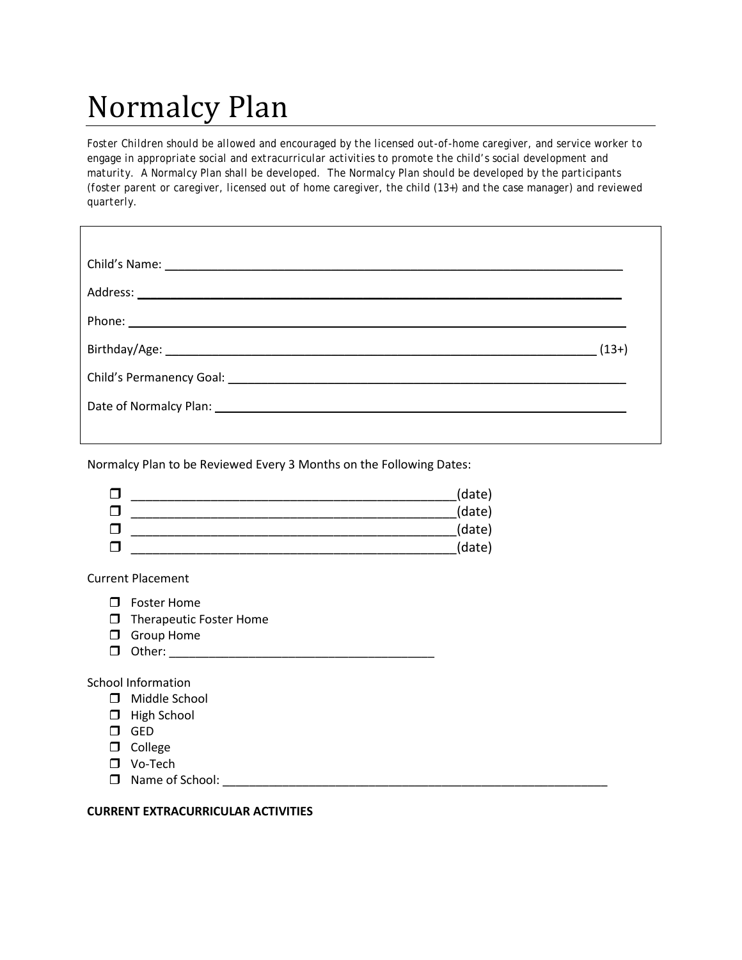# Normalcy Plan

*Foster Children should be allowed and encouraged by the licensed out-of-home caregiver, and service worker to engage in appropriate social and extracurricular activities to promote the child's social development and maturity. A Normalcy Plan shall be developed. The Normalcy Plan should be developed by the participants (foster parent or caregiver, licensed out of home caregiver, the child (13+) and the case manager) and reviewed quarterly.*

Normalcy Plan to be Reviewed Every 3 Months on the Following Dates:



Current Placement

- **D** Foster Home
- $\Box$  Therapeutic Foster Home
- **O** Group Home
- Other: \_\_\_\_\_\_\_\_\_\_\_\_\_\_\_\_\_\_\_\_\_\_\_\_\_\_\_\_\_\_\_\_\_\_\_\_\_\_\_\_

School Information

- Middle School
- $\Box$  High School
- GED
- $\Box$  College
- Vo-Tech
- $\Box$  Name of School:

#### **CURRENT EXTRACURRICULAR ACTIVITIES**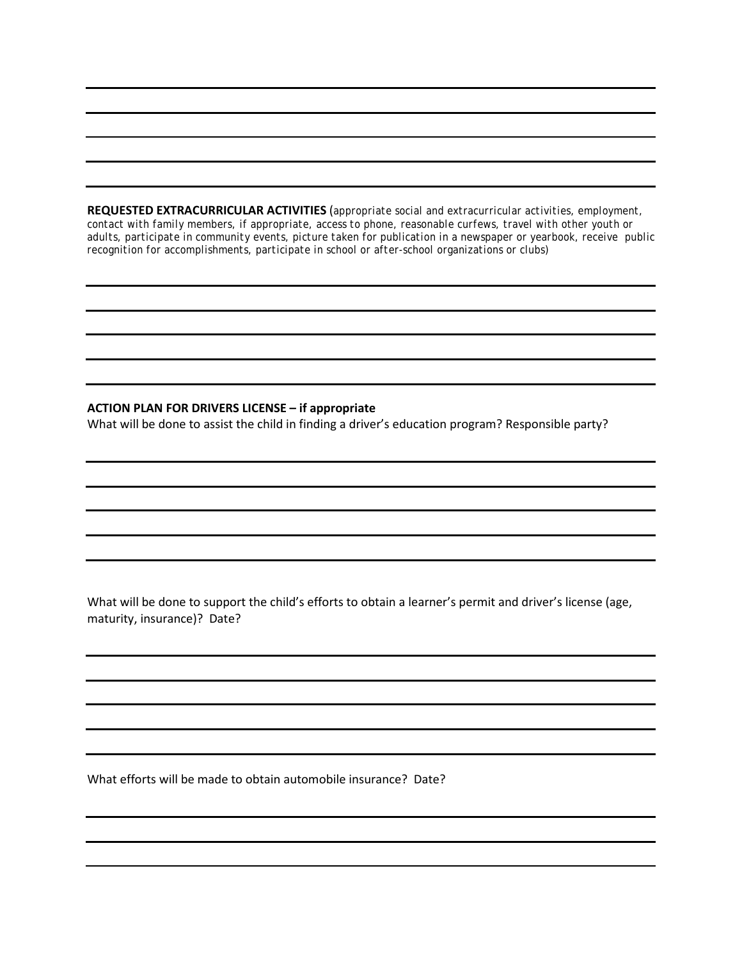**REQUESTED EXTRACURRICULAR ACTIVITIES** (*appropriate social and extracurricular activities, employment, contact with family members, if appropriate, access to phone, reasonable curfews, travel with other youth or adults, participate in community events, picture taken for publication in a newspaper or yearbook, receive public recognition for accomplishments, participate in school or after-school organizations or clubs)*

#### **ACTION PLAN FOR DRIVERS LICENSE – if appropriate**

What will be done to assist the child in finding a driver's education program? Responsible party?

What will be done to support the child's efforts to obtain a learner's permit and driver's license (age, maturity, insurance)? Date?

What efforts will be made to obtain automobile insurance? Date?